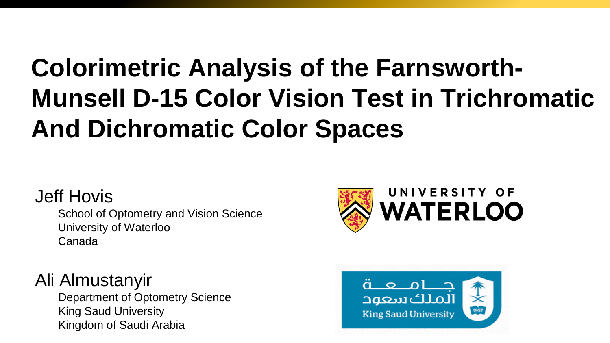# **Colorimetric Analysis of the Farnsworth-Munsell D-15 Color Vision Test in Trichromatic And Dichromatic Color Spaces**

### Jeff Hovis

School of Optometry and Vision Science University of Waterloo Canada

### Ali Almustanyir

Department of Optometry Science King Saud University Kingdom of Saudi Arabia



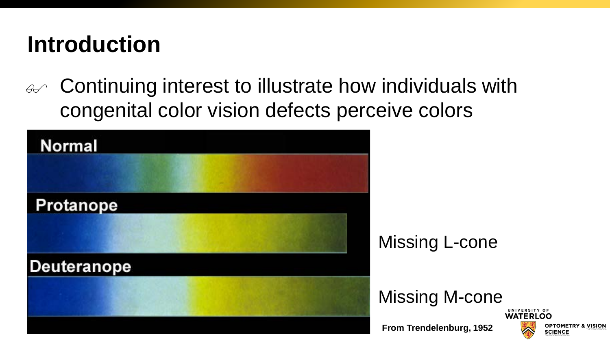## **Introduction**

 $\mathscr{A}$  Continuing interest to illustrate how individuals with congenital color vision defects perceive colors

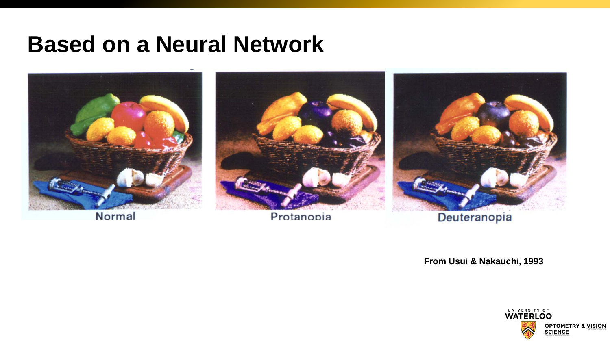### **Based on a Neural Network**



Normal

Protanopia

**From Usui & Nakauchi, 1993**

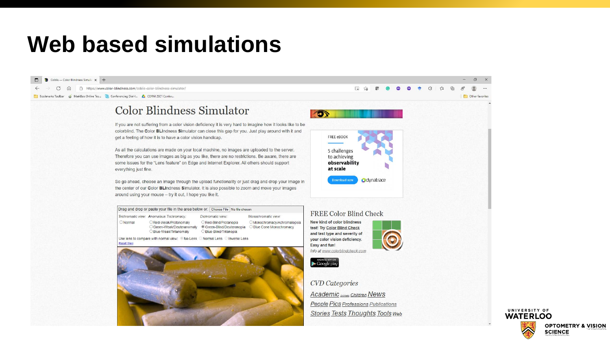## **Web based simulations**



UNIVERSITY OF **WATERLOO** OPTOMETRY & VISION **SCIENCE**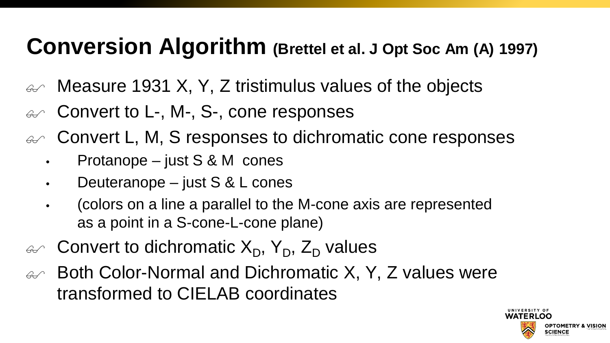## **Conversion Algorithm (Brettel et al. J Opt Soc Am (A) 1997)**

- $\omega$  Measure 1931 X, Y, Z tristimulus values of the objects
- $\mathcal{A}$  Convert to L-, M-, S-, cone responses
- $\mathcal{L}$  Convert L, M, S responses to dichromatic cone responses
	- Protanope just S & M cones
	- Deuteranope just S & L cones
	- (colors on a line a parallel to the M-cone axis are represented as a point in a S-cone-L-cone plane)
- $\mathcal{L}$  Convert to dichromatic  $X_D$ ,  $Y_D$ ,  $Z_D$  values
- $\mathcal{A}$  Both Color-Normal and Dichromatic X, Y, Z values were transformed to CIELAB coordinates

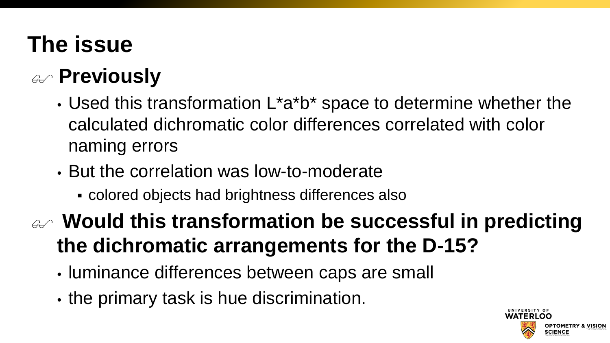# **The issue**

## **Previously**

- Used this transformation L\*a\*b\* space to determine whether the calculated dichromatic color differences correlated with color naming errors
- But the correlation was low-to-moderate
	- colored objects had brightness differences also

 **Would this transformation be successful in predicting the dichromatic arrangements for the D-15?** 

- luminance differences between caps are small
- the primary task is hue discrimination.

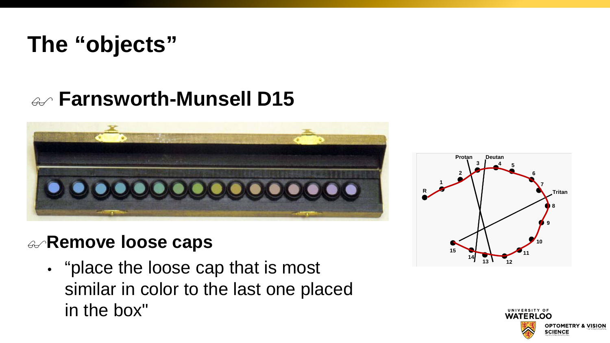# **The "objects"**

### **Farnsworth-Munsell D15**



### **Remove loose caps**

• "place the loose cap that is most similar in color to the last one placed in the box"



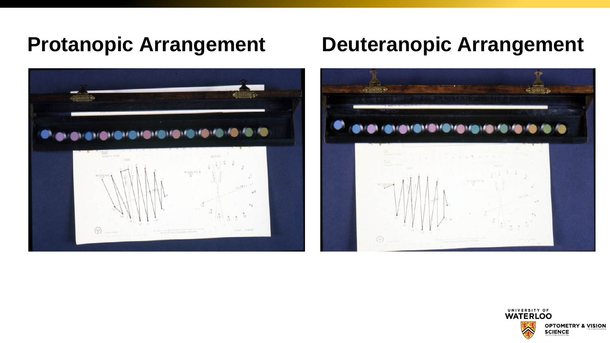

### **Protanopic Arrangement Deuteranopic Arrangement**



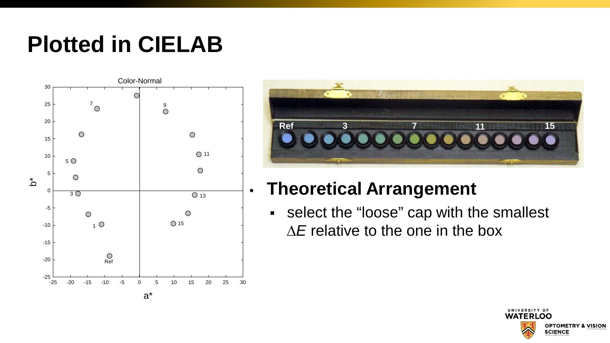# **Plotted in CIELAB**





### • **Theoretical Arrangement**

 select the "loose" cap with the smallest ∆*E* relative to the one in the box

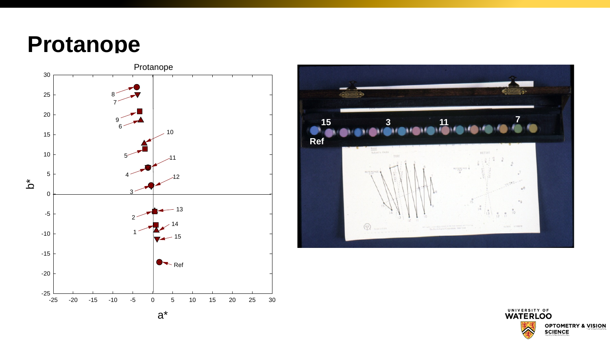### **Protanope**





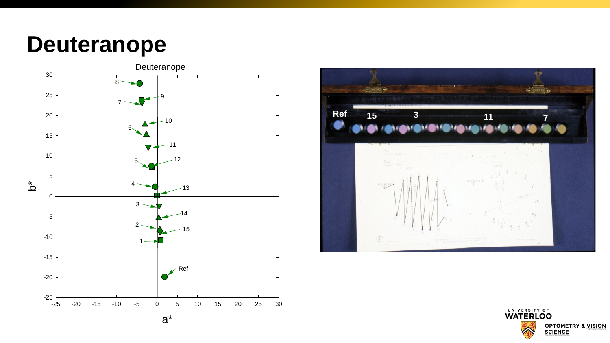### **Deuteranope**





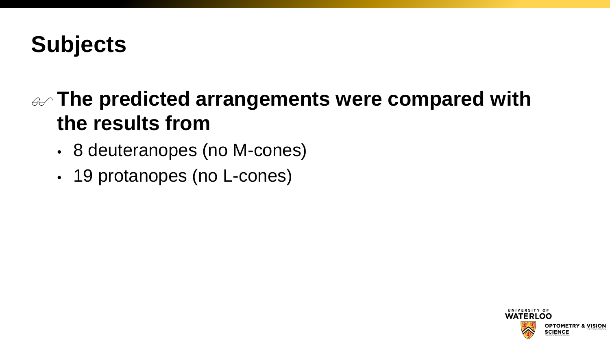# **Subjects**

### **The predicted arrangements were compared with the results from**

- 8 deuteranopes (no M-cones)
- 19 protanopes (no L-cones)

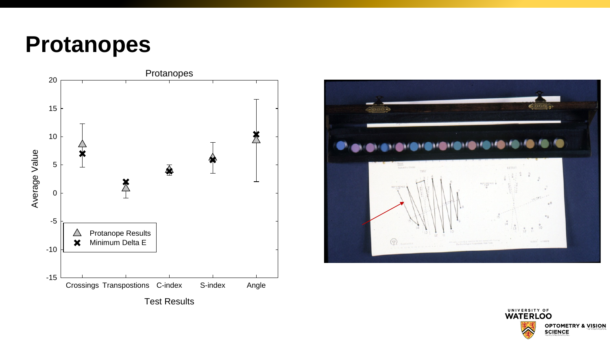### **Protanopes**





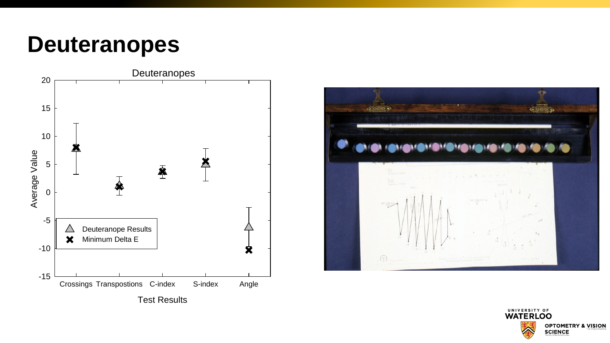### **Deuteranopes**





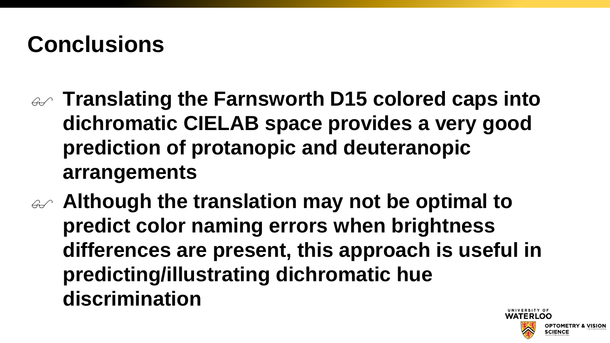# **Conclusions**

- **Translating the Farnsworth D15 colored caps into dichromatic CIELAB space provides a very good prediction of protanopic and deuteranopic arrangements**
- **Although the translation may not be optimal to predict color naming errors when brightness differences are present, this approach is useful in predicting/illustrating dichromatic hue discrimination**